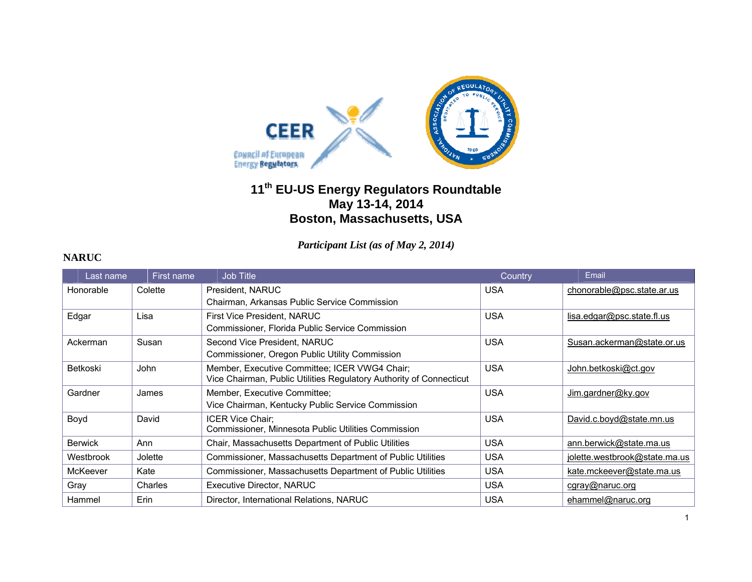

# **<sup>11</sup>th EU-US Energy Regulators Roundtable May 13-14, 2014 Boston, Massachusetts, USA**

*Participant List (as of May 2, 2014)* 

| Last name      | First name | <b>Job Title</b>                                                    | Country    | Email                         |
|----------------|------------|---------------------------------------------------------------------|------------|-------------------------------|
| Honorable      | Colette    | President, NARUC                                                    | <b>USA</b> | chonorable@psc.state.ar.us    |
|                |            | Chairman, Arkansas Public Service Commission                        |            |                               |
| Edgar          | Lisa       | First Vice President, NARUC                                         | <b>USA</b> | lisa.edgar@psc.state.fl.us    |
|                |            | Commissioner, Florida Public Service Commission                     |            |                               |
| Ackerman       | Susan      | Second Vice President, NARUC                                        | <b>USA</b> | Susan.ackerman@state.or.us    |
|                |            | Commissioner, Oregon Public Utility Commission                      |            |                               |
| Betkoski       | John       | Member, Executive Committee; ICER VWG4 Chair;                       | <b>USA</b> | John.betkoski@ct.gov          |
|                |            | Vice Chairman, Public Utilities Regulatory Authority of Connecticut |            |                               |
| Gardner        | James      | Member, Executive Committee:                                        | <b>USA</b> | Jim.gardner@ky.gov            |
|                |            | Vice Chairman, Kentucky Public Service Commission                   |            |                               |
| Boyd           | David      | <b>ICER Vice Chair:</b>                                             | <b>USA</b> | David.c.boyd@state.mn.us      |
|                |            | Commissioner, Minnesota Public Utilities Commission                 |            |                               |
| <b>Berwick</b> | Ann        | Chair, Massachusetts Department of Public Utilities                 | <b>USA</b> | ann.berwick@state.ma.us       |
| Westbrook      | Jolette    | Commissioner, Massachusetts Department of Public Utilities          | <b>USA</b> | jolette.westbrook@state.ma.us |
| McKeever       | Kate       | Commissioner, Massachusetts Department of Public Utilities          | <b>USA</b> | kate.mckeever@state.ma.us     |
| Gray           | Charles    | Executive Director, NARUC                                           | <b>USA</b> | cgray@naruc.org               |
| Hammel         | Erin       | Director, International Relations, NARUC                            | <b>USA</b> | ehammel@naruc.org             |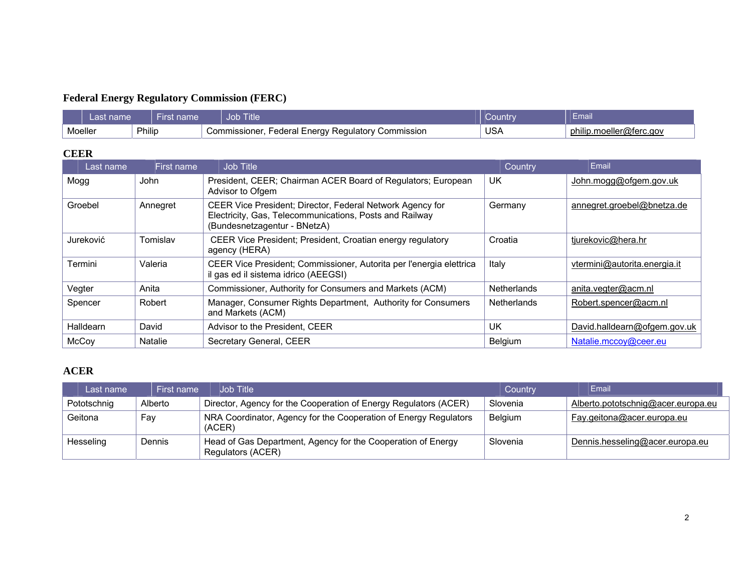## **Federal Energy Regulatory Commission (FERC)**

| ast n<br>name     |  | name<br>चाझ⊾ | <b>Job Title</b>                                                  | <b>MOUNTY</b> | Email                         |
|-------------------|--|--------------|-------------------------------------------------------------------|---------------|-------------------------------|
| Philip<br>Moeller |  |              | Commission<br>Federal Energy Regulatory C<br><i>C</i> ommissioner | USA           | .moeller@terc.aov.د<br>philip |

#### **CEER**

| Last name | First name     | Job Title                                                                                                                                            | Country            | Email                        |
|-----------|----------------|------------------------------------------------------------------------------------------------------------------------------------------------------|--------------------|------------------------------|
| Mogg      | John           | President, CEER; Chairman ACER Board of Regulators; European<br>Advisor to Ofgem                                                                     | UK                 | John.mogg@ofgem.gov.uk       |
| Groebel   | Annegret       | CEER Vice President; Director, Federal Network Agency for<br>Electricity, Gas, Telecommunications, Posts and Railway<br>(Bundesnetzagentur - BNetzA) | Germany            | annegret.groebel@bnetza.de   |
| Jureković | Tomislav       | CEER Vice President; President, Croatian energy regulatory<br>agency (HERA)                                                                          | Croatia            | tjurekovic@hera.hr           |
| Termini   | Valeria        | CEER Vice President; Commissioner, Autorita per l'energia elettrica<br>il gas ed il sistema idrico (AEEGSI)                                          | Italy              | vtermini@autorita.energia.it |
| Vegter    | Anita          | Commissioner, Authority for Consumers and Markets (ACM)                                                                                              | Netherlands        | anita.vegter@acm.nl          |
| Spencer   | Robert         | Manager, Consumer Rights Department, Authority for Consumers<br>and Markets (ACM)                                                                    | <b>Netherlands</b> | Robert.spencer@acm.nl        |
| Halldearn | David          | Advisor to the President, CEER                                                                                                                       | UK                 | David.halldearn@ofgem.gov.uk |
| McCoy     | <b>Natalie</b> | Secretary General, CEER                                                                                                                              | Belgium            | Natalie.mccoy@ceer.eu        |

### **ACER**

| Last name   | First name | Job Title                                                                         | Country  | Email                              |
|-------------|------------|-----------------------------------------------------------------------------------|----------|------------------------------------|
| Pototschnig | Alberto    | Director, Agency for the Cooperation of Energy Regulators (ACER)                  | Slovenia | Alberto.pototschnig@acer.europa.eu |
| Geitona     | Fav        | NRA Coordinator, Agency for the Cooperation of Energy Regulators<br>(ACER)        | Belgium  | Fay.geitona@acer.europa.eu         |
| Hesseling   | Dennis     | Head of Gas Department, Agency for the Cooperation of Energy<br>Regulators (ACER) | Slovenia | Dennis.hesseling@acer.europa.eu    |